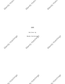

**CAFE** 

Written by





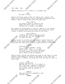Marioy

WYLICININGS

Manus INT. CAFE - DAY INT. CAFE – DAY<br>AMELIA and MIA sit at a table in a crowded cafe Mandy Xivici.

> MIA We need to talk.

Amelia nervously sips coffee not making eye contact. Mia waits for a few seconds to see if she gets a response from Amelia. Amelia stays silent with her head down.

## MIA (CONT'D)

You haven't been to class in two weeks and every time I've tried calling you it goes to voicemail.

Mia pauses to study Amelia's actions. Amelia is not moving and still looking down at the floor. Mia scoots her chair closer to Amelia and places her hand on her back.

> MIA (CONT'D) (rubbing her hand on Amelia's back) You know you can tell me anything. I'm here for you.

Amelia starts to sniffle and Mia grabs a napkin from the Amelia starts to sniffle and Mia grabs a napkin from the to Middle of the table and hands it to Mia. Amelia accepts it

and blows her nose quietly to not draw attention to herself.<br>AMELIA<br>(sniffling)<br>I......I....T then AMELIA (sniffling) I......I....I thought I could handle this...but...I...I just can't do it. I feel like everything is being thrown on me all at once and I have no room to breathe.

Amelia stops talking and places her head on the table to stop herself from sobbing in front of everyone in the cafe. Mia moves closer to Amelia, blocking her from the view of most of the crowd.

> MIA (almost whispering) Hey hey hey it's ok. It's normal to feel like this. Change is scary but it's a part of life. So is failure and failure ends up leading to success.

(MORE) AMELIA Yeah but how am I supposed to get through this?

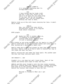



# AMELIA (CONT'D)

It's only the beginning and I'm struggling so much.

#### MIA

I know things may be tough right now but I have full faith in you and I'll be here for you every step of the way. Ok? We can struggle together just like we always have. Nothing can take us down.

Amelia looks up at Mia with tears staining her face. A small smile forms.

#### AMELIA

Man, you sound like some shitty motivational poster in an english high school classroom.

BOTH giggle

## MIA

Maybe but hey it worked. Come on, I'm heading to Freddy's. I'm craving some fries. And you know I'm not a caffeine person.

Mia stands up and holds her hand out for Amelia to take. Amelia looks down at her unfinished coffee and looks back to Mia, giving her a smile and a small nod.

Amelia takes Mia's hand and stands up then they walk towards the door. Amelia lets go of Mia's hand to discard her cup in the trash can near the door.

Amelia rejoins Mia and takes her hand again. Mia pushes open the door and they continue small talk.

INT FREDDY'S - DAY

Freddy's is a run down but well loved diner. Most of the tables and booths have signs of wear and tear.

AMELIA and MIA enter Freddy's with the door chime sounding. Mia still looking down with Amelia having a chipper attitude. Both walk up to the counter. WAITER is bent out cleaning behind the counter then stands to face the two.

WAITER Welcome to Freddy's! What can I get Witchings you? W-Yutchings HYWtchings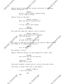Amelia moves closer to the counter and point at the menu behind the Waiter.

3.

W Hutchings

AMELIA Hi can I get a double cheese burger with a side of fries.

Amelia turns to face Mia

AMELIA (CONT'D) What are you in the mood for?

MIA

I'm not really that hungry.

AMELIA

Split a milkshake?

Mia nods her head yes. Amelia turns to Waiter.

AMELIA (CONT'D) And a large chocolate milkshake with two straws.

WAITER Alright that will be 12.65\$

AMELIA

Mia goes to take her wallet out of her bag but Amelia places her hands on it shaking her head no.

Mia smiles a little.

Why?

W Hutchings

It's on me

Amelia takes her wallet out and swipes her credit card.

WAITER Your food wiLL be out shortly.

#### AMELIA

(smiling) Thank you so much

They walk towards a booth and sit across from each other.

The diner is quiet with only a few people.

AMELIA (CONT'D) I love this place

MIA<br>... \*< Krings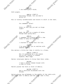

Mandy Killer

Both giggle.

Mandy Hutch.

AMELIA (CONT'D) Seriously though, tell me what's going on?

Mia is visibly uncomfortable and starts to shift in her seat.

MIA

You remember Tyler?

AMELIA

Tyler is that guy you met on Singe right?

MIA

Yeah. We went on a couple of dates. Things were going well.

AMELIA

I remember you blowing me off a few times to hang out with him.

MIA I started to really fall for him.

AMELIA I've never seen you so smitten with someone before. MIA<br>
started to really fall for him.<br>
MELIA<br>
I've never seen you so smitten with<br>
someone before.<br>
Mia smiles a little but then it shifts to a frown.

AMELIA (CONT'D) But I'm guessing he's the reason you're not coming to classes anymore. What happ-

Waiter interrupts Amelia to bring them their order.

WATTER I have a double cheese burger with a side of fries.

Waiter places the food in front of Amelia.

WAITER (CONT'D) And a chocolate milkshake with two straws.

Waiter places the milkshake in the middle of the table with<br>one straw next to Amelia and the other next to Mia.<br> $\pi^{(c)}$ one straw next to Amelia and the other next to Mia.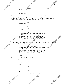

Mandy Killer

Witchings

## AMELIA AND MIA

Thank you.

Mandy Hutch.

There is a moment of silence in between them for them to unwrap the straw wrappers and get napkins out of the dispenser located at the back of the booth's table. Amelia grabs her burger and raises it to her mouth.

## MIA

We had sex.

Amelia pauses, looking shocked at Mia.

## AMELIA

What?

## MIA

He texted me one night asking if he could come over to my dorm. My roommate was out so I said sure. When he came over we stared a movie but in the middle of it we started kissing. And that led to sex.

Mia pauses to looks at Amelia to see her listening intensely while eating her food.

> MIA (CONT'D) After that night I didn't hear from him for a week. I tried texting him but he left me on read. Then, I ran into him at the dining hall. He said there was nothing between us. That I was another number to his count.

Mia takes a sip of the milkshake with tears started to form in her eyes.

> AMELIA What an absolute asshole. How dare he.

MIA No it's my...

Witchings

AMELIA Don't you dare say it's your fault because it 100 percent is not.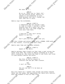

Mandy Killer

But what if  $I...$ 

### AMELIA

No no no. There are no "what ifs". You did nothing wrong. There's no reason to run scenarios in your head because that won't change the fact that he's a dick.

MEA COY XIVICO

Amelia sips the milkshake.

#### AMELIA (CONT'D)

I understand why you wouldn't want to come to class. I wouldn't either knowing that he's there. But you know you can't let some crappy guy ruin your time here.

### MIA

I know but I just can't bring myself to see him.

AMELIA Don't give him that power over you.

The door chimes and enters TYLER with a WOMAN. BOTH walk up to the counter, flirting with each other.

Ameila sees them and her eyes widened.

AMELIA (CONT'D) Speak of the devil.

Amelia watches them closely as they take a seat across the diner from them. Mia looks at Amelia confused as to what she's looking at. Mia turns her head to see Tyler and tries to hide herself behind the booth.

> AMELIA (CONT'D) Hey this is you're chance to confront him and get some closure.

MIA I can't do that.

AMELIA Yes you can and I'll be here as backup.

Mia sits there for a moment then stands and walks towards Tyler and the woman. She approaches the table with caution.<br>Both are unaware of Mia as they talk.<br> $\pi c^{n}$ Both are unaware of Mia as they talk.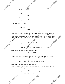Mandy Hutch. MEA COY XIVICO Mandy Kitter Tyler,....hey. TYLER Uh hey. MIA Can we talk? TYLER Do I know you? Mia freezes in place. MIA Excuse me? TYLER You heard me. Do I know you? Mia gets visibly upset as she turns away and heads back to<br>the table with Amelia. She grabs the milkshake off the table<br>and walks straight up to Tyler. Both make eye contact. Not<br>breaking it, Mia smiles and pours the milks the table with Amelia. She grabs the milkshake off the table and walks straight up to Tyler. Both make eye contact. Not breaking it, Mia smiles and pours the milkshake on his head. Tyler shoots up from his seat.<br>TYLER (CONT)<br>What the fuck " TYLER (CONT'D) What the fuck Mia?! MIA Oh crazy how you remember me now. Mia turns to the woman with Tyler. MIA (CONT'D) Believe me, it's small. Mia turns away from the table and walks towards the exit. Amelia sees this and gathers her stuff, joining Mia. AMELIA Well that's one way to get closure. Both snicker and exits the diner. Tyler starts grabbing napkins trying to clean himself. The woman still siting there. TYLER What the hell are you doing? Stop being useless and help me. WYNtchings Witchings